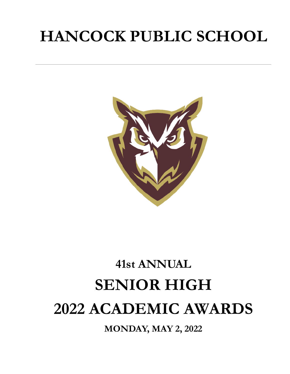# **HANCOCK PUBLIC SCHOOL**



# **41st ANNUAL SENIOR HIGH 2022 ACADEMIC AWARDS**

**MONDAY, MAY 2, 2022**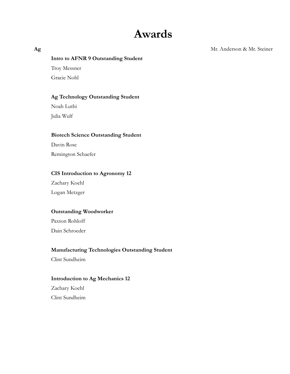# **Awards**

**Ag** Mr. Anderson & Mr. Steiner

#### **Intro to AFNR 9 Outstanding Student**

Troy Messner Gracie Nohl

#### **Ag Technology Outstanding Student**

Noah Luthi Julia Wulf

#### **Biotech Science Outstanding Student**

Davin Rose Remington Schaefer

#### **CIS Introduction to Agronomy 12**

Zachary Koehl Logan Metzger

#### **Outstanding Woodworker**

Paxton Rohloff Dain Schroeder

#### **Manufacturing Technologies Outstanding Student**

Clint Sundheim

#### **Introduction to Ag Mechanics 12**

Zachary Koehl Clint Sundheim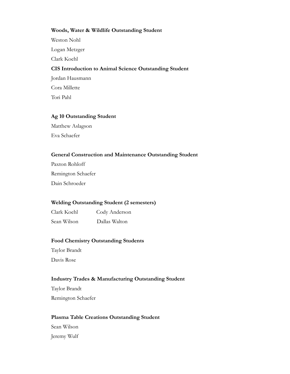#### **Woods, Water & Wildlife Outstanding Student**

Weston Nohl Logan Metzger Clark Koehl **CIS Introduction to Animal Science Outstanding Student** Jordan Hausmann

Cora Millette Tori Pahl

#### **Ag 10 Outstanding Student**

Matthew Aslagson Eva Schaefer

#### **General Construction and Maintenance Outstanding Student**

Paxton Rohloff Remington Schaefer Dain Schroeder

#### **Welding Outstanding Student (2 semesters)**

Clark Koehl Cody Anderson

Sean Wilson Dallas Walton

#### **Food Chemistry Outstanding Students**

Taylor Brandt Davis Rose

#### **Industry Trades & Manufacturing Outstanding Student**

Taylor Brandt Remington Schaefer

#### **Plasma Table Creations Outstanding Student**

Sean Wilson Jeremy Wulf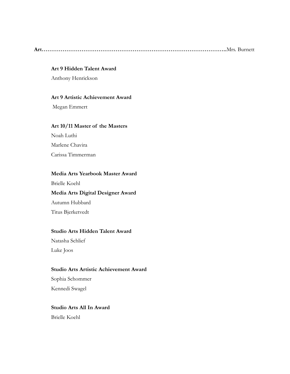**Art……………………………………………………………………………………..**Mrs. Burnett

#### **Art 9 Hidden Talent Award**

Anthony Henrickson

#### **Art 9 Artistic Achievement Award**

Megan Emmert

#### **Art 10/11 Master of the Masters**

Noah Luthi Marlene Chavira Carissa Timmerman

#### **Media Arts Yearbook Master Award**

Brielle Koehl

#### **Media Arts Digital Designer Award**

Autumn Hubbard Titus Bjerketvedt

#### **Studio Arts Hidden Talent Award**

Natasha Schlief Luke Joos

#### **Studio Arts Artistic Achievement Award**

Sophia Schommer Kennedi Swagel

#### **Studio Arts All In Award**

Brielle Koehl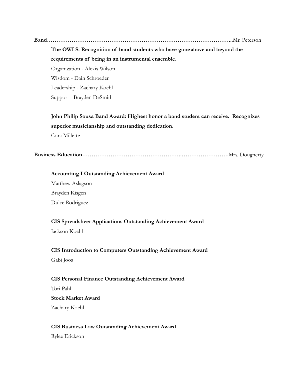**Band……………………………………………………………………………………..**.Mr. Peterson

**The OWLS: Recognition of band students who have goneabove and beyond the requirements of being in an instrumental ensemble.**

Organization - Alexis Wilson Wisdom - Dain Schroeder Leadership - Zachary Koehl Support - Brayden DeSmith

**John Philip Sousa Band Award: Highest honor a band student can receive. Recognizes superior musicianship and outstanding dedication.** Cora Millette

**Business Education……………………………………………..…………………….**Mrs. Dougherty

**Accounting I Outstanding Achievement Award** Matthew Aslagson Brayden Kisgen

Dulce Rodriguez

#### **CIS Spreadsheet Applications Outstanding Achievement Award**

Jackson Koehl

#### **CIS Introduction to Computers Outstanding Achievement Award**

Gabi Joos

#### **CIS Personal Finance Outstanding Achievement Award**

Tori Pahl

## **Stock Market Award**

Zachary Koehl

#### **CIS Business Law Outstanding Achievement Award**

Rylee Erickson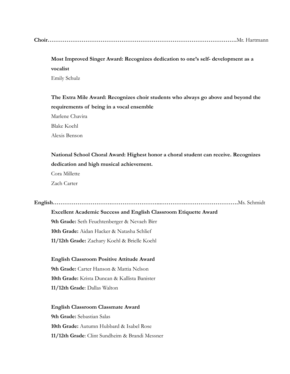|--|--|

### **Most Improved Singer Award: Recognizes dedication to one's self- development as a vocalist** Emily Schulz

**The Extra Mile Award: Recognizes choir students who always go above and beyond the requirements of being in a vocal ensemble**

Marlene Chavira Blake Koehl

Alexis Benson

**National School Choral Award: Highest honor a choral student can receive. Recognizes dedication and high musical achievement.**

Cora Millette Zach Carter

**English………………………….……………………...………….……………………….**Ms. Schmidt

**Excellent Academic Success and English Classroom Etiquette Award**

**9th Grade:** Seth Feuchtenberger & Nevaeh Birr **10th Grade:** Aidan Hacker & Natasha Schlief **11/12th Grade:** Zachary Koehl & Brielle Koehl

**English Classroom Positive Attitude Award**

**9th Grade:** Carter Hanson & Mattia Nelson **10th Grade:** Krista Duncan & Kallista Banister **11/12th Grade**: Dallas Walton

**English Classroom Classmate Award 9th Grade:** Sebastian Salas **10th Grade:** Autumn Hubbard & Isabel Rose **11/12th Grade**: Clint Sundheim & Brandi Messner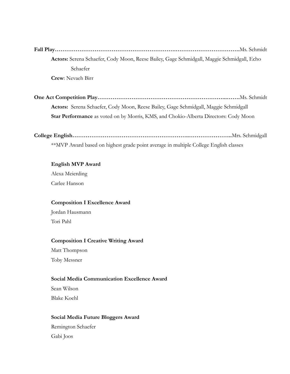**Fall Play……………………………………………………….…………………………….**Ms. Schmidt **Actors:** Serena Schaefer, Cody Moon, Reese Bailey, Gage Schmidgall, Maggie Schmidgall, Echo Schaefer **Crew**: Nevaeh Birr

**One Act Competition Play…………………………………………………………...…….**Ms. Schmidt **Actors:** Serena Schaefer, Cody Moon, Reese Bailey, Gage Schmidgall, Maggie Schmidgall **Star Performance** as voted on by Morris, KMS, and Chokio-Alberta Directors: Cody Moon

**College English……………………………………………………..…………………..**Mrs. Schmidgall

\*\*MVP Award based on highest grade point average in multiple College English classes

#### **English MVP Award**

Alexa Meierding Carlee Hanson

#### **Composition I Excellence Award**

Jordan Hausmann Tori Pahl

#### **Composition I Creative Writing Award**

Matt Thompson Toby Messner

#### **Social Media Communication Excellence Award**

Sean Wilson Blake Koehl

#### **Social Media Future Bloggers Award**

Remington Schaefer Gabi Joos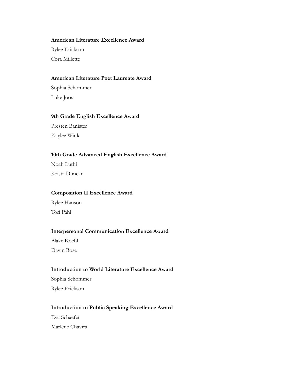#### **American Literature Excellence Award**

Rylee Erickson

Cora Millette

#### **American Literature Poet Laureate Award**

Sophia Schommer Luke Joos

#### **9th Grade English Excellence Award**

Presten Banister Kaylee Wink

#### **10th Grade Advanced English Excellence Award**

Noah Luthi Krista Duncan

#### **Composition II Excellence Award**

Rylee Hanson Tori Pahl

#### **Interpersonal Communication Excellence Award**

Blake Koehl Davin Rose

#### **Introduction to World Literature Excellence Award**

Sophia Schommer Rylee Erickson

#### **Introduction to Public Speaking Excellence Award**

Eva Schaefer Marlene Chavira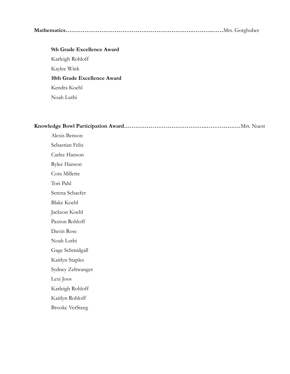#### **Mathematics………………………………………………………….………..……**Mrs. Gorghuber

## **9th Grade Excellence Award** Karleigh Rohloff Kaylee Wink **10th Grade Excellence Award** Kendra Koehl Noah Luthi

|--|

Alexis Benson Sebastian Felix Carlee Hanson Rylee Hanson Cora Millette Tori Pahl Serena Schaefer Blake Koehl Jackson Koehl Paxton Rohloff Davin Rose Noah Luthi Gage Schmidgall Kaitlyn Staples Sydney Zeltwanger Lexi Joos Karleigh Rohloff Kaitlyn Rohloff Brooke VerSteeg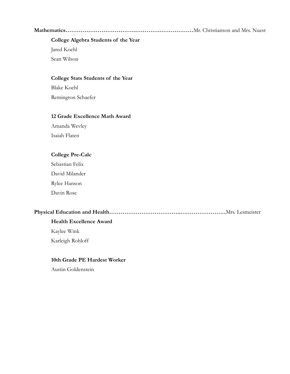**Mathematics……………………………….………….………………**Mr. Christianson and Mrs. Nuest

#### **College Algebra Students of the Year**

Jared Koehl

Sean Wilson

#### **College Stats Students of the Year**

Blake Koehl Remington Schaefer

#### **12 Grade Excellence Math Award**

Amanda Wevley Isaiah Flaten

#### **College Pre-Calc**

Sebastian Felix

David Milander

Rylee Hanson

Davin Rose

#### **Physical Education and Health………………………………..……………………**Mrs. Lesmeister

#### **Health Excellence Award**

Kaylee Wink

Karleigh Rohloff

#### **10th Grade PE Hardest Worker**

Austin Goldenstein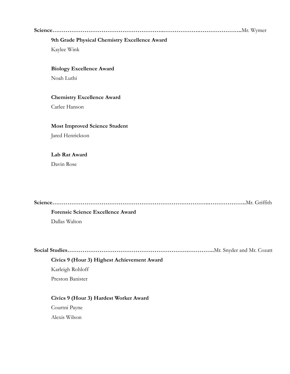**Science…………………………………………………..……………….…………………..**Mr. Wymer

#### **9th Grade Physical Chemistry Excellence Award**

Kaylee Wink

#### **Biology Excellence Award**

Noah Luthi

#### **Chemistry Excellence Award**

Carlee Hanson

#### **Most Improved Science Student**

Jared Henrickson

#### **Lab Rat Award**

Davin Rose

| <b>Forensic Science Excellence Award</b> |
|------------------------------------------|
| Dallas Walton                            |

**Social Studies……………………………………………………….…………..**Mr. Snyder and Mr. Cozatt

#### **Civics 9 (Hour 3) Highest Achievement Award**

Karleigh Rohloff

Preston Banister

#### **Civics 9 (Hour 3) Hardest Worker Award**

Courtni Payne Alexis Wilson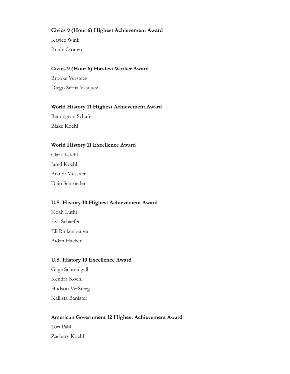#### **Civics 9 (Hour 6) Highest Achievement Award**

Kaylee Wink Brady Cronen

#### **Civics 9 (Hour 6) Hardest Worker Award**

Brooke Versteeg Diego Serna Vasquez

#### **World History 11 Highest Achievement Award**

Remington Schafer Blake Koehl

#### **World History 11 Excellence Award**

Clark Koehl Jared Koehl Brandi Messner Dain Schroeder

#### **U.S. History 10 Highest Achievement Award**

Noah Luthi Eva Schaefer Eli Rinkenberger Aidan Hacker

#### **U.S. History 10 Excellence Award**

Gage Schmidgall Kendra Koehl Hudson VerSteeg Kallista Banister

#### **American Government 12 Highest Achievement Award**

Tori Pahl Zachary Koehl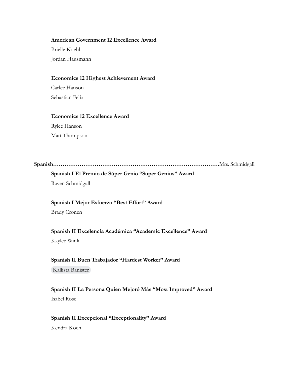#### **American Government 12 Excellence Award**

Brielle Koehl Jordan Hausmann

#### **Economics 12 Highest Achievement Award**

Carlee Hanson Sebastian Felix

#### **Economics 12 Excellence Award**

Rylee Hanson Matt Thompson

**Spanish…………………………………………………………………………….**Mrs. Schmidgall

### **Spanish I El Premio de Súper Genio "Super Genius" Award** Raven Schmidgall

#### **Spanish I Mejor Esfuerzo "Best Effort" Award**

Brady Cronen

### **Spanish II Excelencia Académica "Academic Excellence" Award** Kaylee Wink

#### **Spanish II Buen Trabajador "Hardest Worker" Award** [Kallista Banister](mailto:kallista.banister@hancockisd768.org)

#### **Spanish II La Persona Quien Mejoró Más "Most Improved" Award** Isabel Rose

#### **Spanish II Excepcional "Exceptionality" Award** Kendra Koehl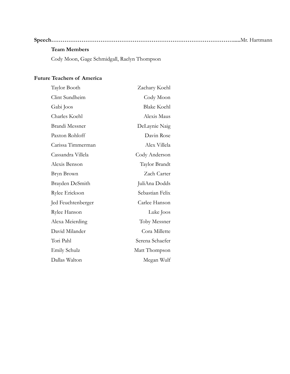### **Speech…………………………………………………………………………………….....**Mr. Hartmann

#### **Team Members**

Cody Moon, Gage Schmidgall, Raelyn Thompson

#### **Future Teachers of America**

| Taylor Booth        | Zachary Koehl      |
|---------------------|--------------------|
| Clint Sundheim      | Cody Moon          |
| Gabi Joos           | <b>Blake Koehl</b> |
| Charles Koehl       | Alexis Maus        |
| Brandi Messner      | DeLaynie Naig      |
| Paxton Rohloff      | Davin Rose         |
| Carissa Timmerman   | Alex Villela       |
| Cassandra Villela   | Cody Anderson      |
| Alexis Benson       | Taylor Brandt      |
| Bryn Brown          | Zach Carter        |
| Brayden DeSmith     | JuliAna Dodds      |
| Rylee Erickson      | Sebastian Felix    |
| Jed Feuchtenberger  | Carlee Hanson      |
| Rylee Hanson        | Luke Joos          |
| Alexa Meierding     | Toby Messner       |
| David Milander      | Cora Millette      |
| Tori Pahl           | Serena Schaefer    |
| <b>Emily Schulz</b> | Matt Thompson      |
| Dallas Walton       | Megan Wulf         |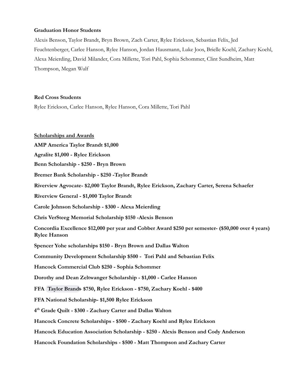#### **Graduation Honor Students**

Alexis Benson, Taylor Brandt, Bryn Brown, Zach Carter, Rylee Erickson, Sebastian Felix, Jed Feuchtenberger, Carlee Hanson, Rylee Hanson, Jordan Hausmann, Luke Joos, Brielle Koehl, Zachary Koehl, Alexa Meierding, David Milander, Cora Millette, Tori Pahl, Sophia Schommer, Clint Sundheim, Matt Thompson, Megan Wulf

#### **Red Cross Students**

Rylee Erickson, Carlee Hanson, Rylee Hanson, Cora Millette, Tori Pahl

**Scholarships and Awards AMP America Taylor Brandt \$1,000 Agralite \$1,000 - Rylee Erickson Benn Scholarship - \$250 - Bryn Brown Bremer Bank Scholarship - \$250 -Taylor Brandt Riverview Agvocate- \$2,000 Taylor Brandt, Rylee Erickson, Zachary Carter, Serena Schaefer Riverview General - \$1,000 Taylor Brandt Carole Johnson Scholarship - \$300 - Alexa Meierding Chris VerSteeg Memorial Scholarship \$150 -Alexis Benson Concordia Excellence \$12,000 per year and Cobber Award \$250 per semester- (\$50,000 over 4 years) Rylee Hanson Spencer Yohe scholarships \$150 - Bryn Brown and Dallas Walton Community Development Scholarship \$500 - Tori Pahl and Sebastian Felix Hancock Commercial Club \$250 - Sophia Schommer Dorothy and Dean Zeltwanger Scholarship - \$1,000 - Carlee Hanson FFA [Taylor Brandt-](mailto:taylor.brandt@hancockisd768.org) \$750, Rylee Erickson - \$750, Zachary Koehl - \$400 FFA National Scholarship- \$1,500 Rylee Erickson 4 th Grade Quilt - \$300 - Zachary Carter and Dallas Walton Hancock Concrete Scholarships - \$500 - Zachary Koehl and Rylee Erickson Hancock Education Association Scholarship - \$250 - Alexis Benson and Cody Anderson Hancock Foundation Scholarships - \$500 - Matt Thompson and Zachary Carter**